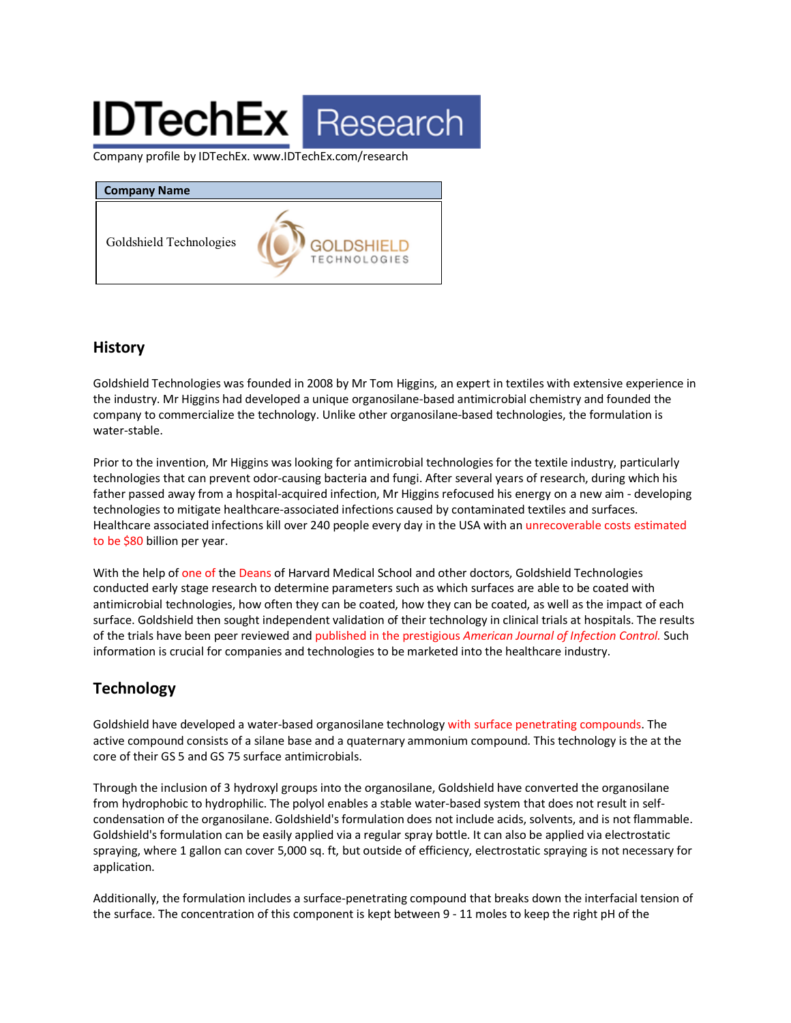# **IDTechEx** Research

Company profile by IDTechEx. www.IDTechEx.com/research

| <b>Company Name</b>     |                                          |
|-------------------------|------------------------------------------|
| Goldshield Technologies | <b>GOLDSHIELD</b><br><b>TECHNOLOGIES</b> |

#### **History**

Goldshield Technologies was founded in 2008 by Mr Tom Higgins, an expert in textiles with extensive experience in the industry. Mr Higgins had developed a unique organosilane-based antimicrobial chemistry and founded the company to commercialize the technology. Unlike other organosilane-based technologies, the formulation is water-stable.

Prior to the invention, Mr Higgins was looking for antimicrobial technologies for the textile industry, particularly technologies that can prevent odor-causing bacteria and fungi. After several years of research, during which his father passed away from a hospital-acquired infection, Mr Higgins refocused his energy on a new aim - developing technologies to mitigate healthcare-associated infections caused by contaminated textiles and surfaces. Healthcare associated infections kill over 240 people every day in the USA with an unrecoverable costs estimated to be \$80 billion per year.

With the help of one of the Deans of Harvard Medical School and other doctors, Goldshield Technologies conducted early stage research to determine parameters such as which surfaces are able to be coated with antimicrobial technologies, how often they can be coated, how they can be coated, as well as the impact of each surface. Goldshield then sought independent validation of their technology in clinical trials at hospitals. The results of the trials have been peer reviewed and published in the prestigious *American Journal of Infection Control.* Such information is crucial for companies and technologies to be marketed into the healthcare industry.

## **Technology**

Goldshield have developed a water-based organosilane technology with surface penetrating compounds. The active compound consists of a silane base and a quaternary ammonium compound. This technology is the at the core of their GS 5 and GS 75 surface antimicrobials.

Through the inclusion of 3 hydroxyl groups into the organosilane, Goldshield have converted the organosilane from hydrophobic to hydrophilic. The polyol enables a stable water-based system that does not result in selfcondensation of the organosilane. Goldshield's formulation does not include acids, solvents, and is not flammable. Goldshield's formulation can be easily applied via a regular spray bottle. It can also be applied via electrostatic spraying, where 1 gallon can cover 5,000 sq. ft, but outside of efficiency, electrostatic spraying is not necessary for application.

Additionally, the formulation includes a surface-penetrating compound that breaks down the interfacial tension of the surface. The concentration of this component is kept between 9 - 11 moles to keep the right pH of the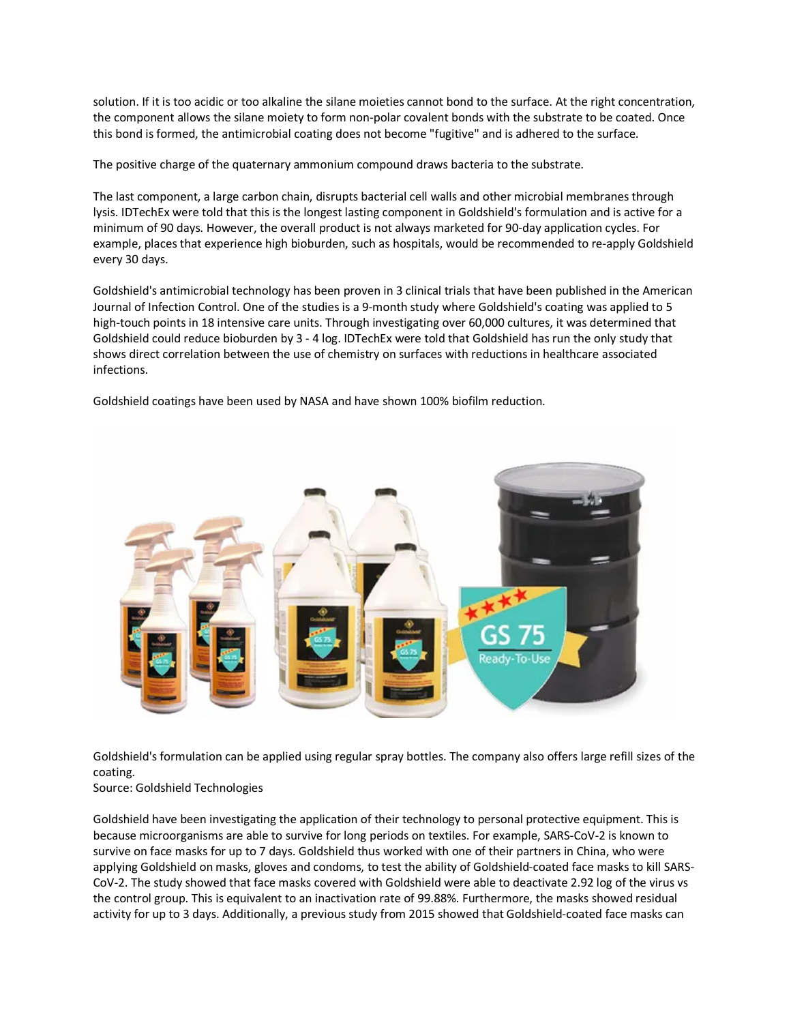solution. If it is too acidic or too alkaline the silane moieties cannot bond to the surface. At the right concentration, the component allows the silane moiety to form non-polar covalent bonds with the substrate to be coated. Once this bond is formed, the antimicrobial coating does not become "fugitive" and is adhered to the surface.

The positive charge of the quaternary ammonium compound draws bacteria to the substrate.

The last component, a large carbon chain, disrupts bacterial cell walls and other microbial membranes through lysis. IDTechEx were told that this is the longest lasting component in Goldshield's formulation and is active for a minimum of 90 days. However, the overall product is not always marketed for 90-day application cycles. For example, places that experience high bioburden, such as hospitals, would be recommended to re-apply Goldshield every 30 days.

Goldshield's antimicrobial technology has been proven in 3 clinical trials that have been published in the American Journal of Infection Control. One of the studies is a 9-month study where Goldshield's coating was applied to 5 high-touch points in 18 intensive care units. Through investigating over 60,000 cultures, it was determined that Goldshield could reduce bioburden by 3 - 4 log. IDTechEx were told that Goldshield has run the only study that shows direct correlation between the use of chemistry on surfaces with reductions in healthcare associated infections.

Goldshield coatings have been used by NASA and have shown 100% biofilm reduction.



Goldshield's formulation can be applied using regular spray bottles. The company also offers large refill sizes of the coating.

#### Source: Goldshield Technologies

Goldshield have been investigating the application of their technology to personal protective equipment. This is because microorganisms are able to survive for long periods on textiles. For example, SARS-CoV-2 is known to survive on face masks for up to 7 days. Goldshield thus worked with one of their partners in China, who were applying Goldshield on masks, gloves and condoms, to test the ability of Goldshield-coated face masks to kill SARS-CoV-2. The study showed that face masks covered with Goldshield were able to deactivate 2.92 log of the virus vs the control group. This is equivalent to an inactivation rate of 99.88%. Furthermore, the masks showed residual activity for up to 3 days. Additionally, a previous study from 2015 showed that Goldshield-coated face masks can